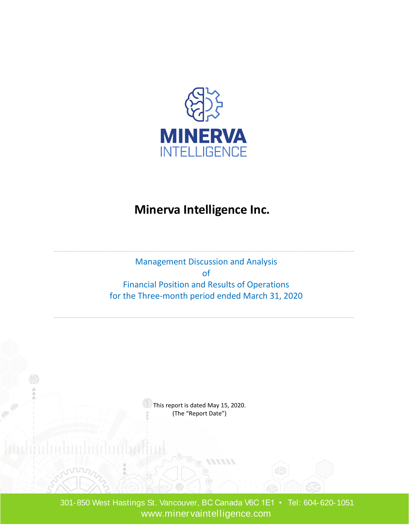

## **Minerva Intelligence Inc.**

Management Discussion and Analysis of Financial Position and Results of Operations for the Three-month period ended March 31, 2020

> $\mathbb{S}$  This report is dated May 15, 2020. (The "Report Date")

 301-850 West Hastings St. Vancouver, BC Canada V6C 1E1 • Tel: 604-620-1051 www.minervaintelligence.com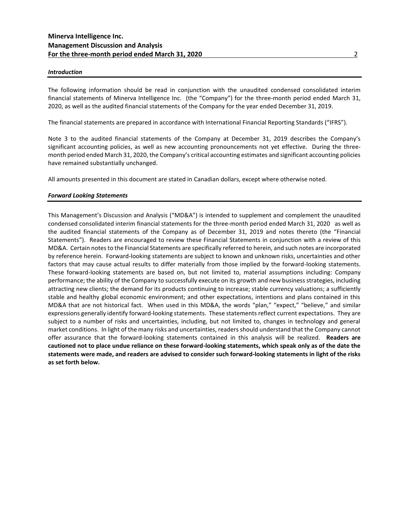## *Introduction*

The following information should be read in conjunction with the unaudited condensed consolidated interim financial statements of Minerva Intelligence Inc. (the "Company") for the three-month period ended March 31, 2020, as well as the audited financial statements of the Company for the year ended December 31, 2019.

The financial statements are prepared in accordance with International Financial Reporting Standards ("IFRS").

Note 3 to the audited financial statements of the Company at December 31, 2019 describes the Company's significant accounting policies, as well as new accounting pronouncements not yet effective. During the threemonth period ended March 31, 2020, the Company's critical accounting estimates and significant accounting policies have remained substantially unchanged.

All amounts presented in this document are stated in Canadian dollars, except where otherwise noted.

## *Forward Looking Statements*

This Management's Discussion and Analysis ("MD&A") is intended to supplement and complement the unaudited condensed consolidated interim financial statements for the three-month period ended March 31, 2020 as well as the audited financial statements of the Company as of December 31, 2019 and notes thereto (the "Financial Statements"). Readers are encouraged to review these Financial Statements in conjunction with a review of this MD&A. Certain notes to the Financial Statements are specifically referred to herein, and such notes are incorporated by reference herein. Forward-looking statements are subject to known and unknown risks, uncertainties and other factors that may cause actual results to differ materially from those implied by the forward-looking statements. These forward-looking statements are based on, but not limited to, material assumptions including: Company performance; the ability of the Company to successfully execute on its growth and new business strategies, including attracting new clients; the demand for its products continuing to increase; stable currency valuations; a sufficiently stable and healthy global economic environment; and other expectations, intentions and plans contained in this MD&A that are not historical fact. When used in this MD&A, the words "plan," "expect," "believe," and similar expressions generally identify forward-looking statements. These statements reflect current expectations. They are subject to a number of risks and uncertainties, including, but not limited to, changes in technology and general market conditions. In light of the many risks and uncertainties, readers should understand that the Company cannot offer assurance that the forward-looking statements contained in this analysis will be realized. **Readers are cautioned not to place undue reliance on these forward-looking statements, which speak only as of the date the statements were made, and readers are advised to consider such forward-looking statements in light of the risks as set forth below.**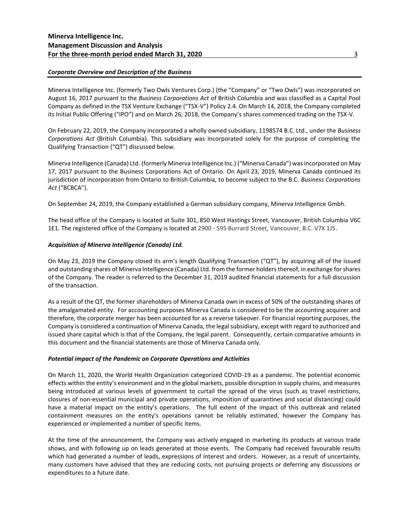## *Corporate Overview and Description of the Business*

Minerva Intelligence Inc. (formerly Two Owls Ventures Corp.) (the "Company" or "Two Owls") was incorporated on August 16, 2017 pursuant to the *Business Corporations Act* of British Columbia and was classified as a Capital Pool Company as defined in the TSX Venture Exchange ("TSX-V") Policy 2.4. On March 14, 2018, the Company completed its Initial Public Offering ("IPO") and on March 26, 2018, the Company's shares commenced trading on the TSX-V.

On February 22, 2019, the Company incorporated a wholly owned subsidiary, 1198574 B.C. Ltd., under the *Business Corporations Act* (British Columbia). This subsidiary was incorporated solely for the purpose of completing the Qualifying Transaction ("QT") discussed below.

Minerva Intelligence (Canada) Ltd. (formerly Minerva Intelligence Inc.) ("Minerva Canada") was incorporated on May 17, 2017 pursuant to the Business Corporations Act of Ontario. On April 23, 2019, Minerva Canada continued its jurisdiction of incorporation from Ontario to British Columbia, to become subject to the B.C. *Business Corporations Act* ("BCBCA").

On September 24, 2019, the Company established a German subsidiary company, Minerva Intelligence Gmbh.

The head office of the Company is located at Suite 301, 850 West Hastings Street, Vancouver, British Columbia V6C 1E1. The registered office of the Company is located at 2900 - 595 Burrard Street, Vancouver, B.C. V7X 1J5.

## *Acquisition of Minerva Intelligence (Canada) Ltd.*

On May 23, 2019 the Company closed its arm's length Qualifying Transaction ("QT"), by acquiring all of the issued and outstanding shares of Minerva Intelligence (Canada) Ltd. from the former holders thereof, in exchange for shares of the Company. The reader is referred to the December 31, 2019 audited financial statements for a full discussion of the transaction.

As a result of the QT, the former shareholders of Minerva Canada own in excess of 50% of the outstanding shares of the amalgamated entity. For accounting purposes Minerva Canada is considered to be the accounting acquirer and therefore, the corporate merger has been accounted for as a reverse takeover. For financial reporting purposes, the Company is considered a continuation of Minerva Canada, the legal subsidiary, except with regard to authorized and issued share capital which is that of the Company, the legal parent. Consequently, certain comparative amounts in this document and the financial statements are those of Minerva Canada only.

## *Potential impact of the Pandemic on Corporate Operations and Activities*

On March 11, 2020, the World Health Organization categorized COVID-19 as a pandemic. The potential economic effects within the entity's environment and in the global markets, possible disruption in supply chains, and measures being introduced at various levels of government to curtail the spread of the virus (such as travel restrictions, closures of non-essential municipal and private operations, imposition of quarantines and social distancing) could have a material impact on the entity's operations. The full extent of the impact of this outbreak and related containment measures on the entity's operations cannot be reliably estimated, however the Company has experienced or implemented a number of specific items.

At the time of the announcement, the Company was actively engaged in marketing its products at various trade shows, and with following up on leads generated at those events. The Company had received favourable results which had generated a number of leads, expressions of interest and orders. However, as a result of uncertainty, many customers have advised that they are reducing costs, not pursuing projects or deferring any discussions or expenditures to a future date.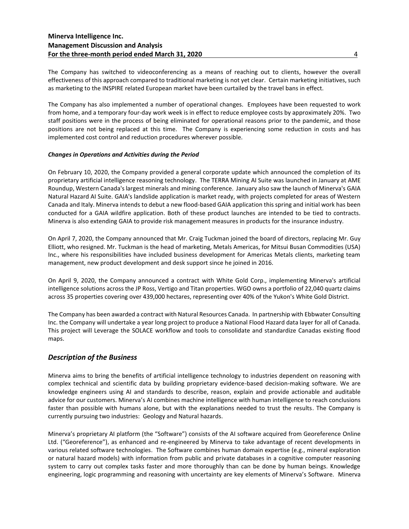The Company has switched to videoconferencing as a means of reaching out to clients, however the overall effectiveness of this approach compared to traditional marketing is not yet clear. Certain marketing initiatives, such as marketing to the INSPIRE related European market have been curtailed by the travel bans in effect.

The Company has also implemented a number of operational changes. Employees have been requested to work from home, and a temporary four-day work week is in effect to reduce employee costs by approximately 20%. Two staff positions were in the process of being eliminated for operational reasons prior to the pandemic, and those positions are not being replaced at this time. The Company is experiencing some reduction in costs and has implemented cost control and reduction procedures wherever possible.

## *Changes in Operations and Activities during the Period*

On February 10, 2020, the Company provided a general corporate update which announced the completion of its proprietary artificial intelligence reasoning technology. The TERRA Mining AI Suite was launched in January at AME Roundup, Western Canada's largest minerals and mining conference. January also saw the launch of Minerva's GAIA Natural Hazard AI Suite. GAIA's landslide application is market ready, with projects completed for areas of Western Canada and Italy. Minerva intends to debut a new flood-based GAIA application this spring and initial work has been conducted for a GAIA wildfire application. Both of these product launches are intended to be tied to contracts. Minerva is also extending GAIA to provide risk management measures in products for the insurance industry.

On April 7, 2020, the Company announced that Mr. Craig Tuckman joined the board of directors, replacing Mr. Guy Elliott, who resigned. Mr. Tuckman is the head of marketing, Metals Americas, for Mitsui Busan Commodities (USA) Inc., where his responsibilities have included business development for Americas Metals clients, marketing team management, new product development and desk support since he joined in 2016.

On April 9, 2020, the Company announced a contract with White Gold Corp., implementing Minerva's artificial intelligence solutions across the JP Ross, Vertigo and Titan properties. WGO owns a portfolio of 22,040 quartz claims across 35 properties covering over 439,000 hectares, representing over 40% of the Yukon's White Gold District.

The Company has been awarded a contract with Natural Resources Canada. In partnership with Ebbwater Consulting Inc. the Company will undertake a year long project to produce a National Flood Hazard data layer for all of Canada. This project will Leverage the SOLACE workflow and tools to consolidate and standardize Canadas existing flood maps.

## *Description of the Business*

Minerva aims to bring the benefits of artificial intelligence technology to industries dependent on reasoning with complex technical and scientific data by building proprietary evidence-based decision-making software. We are knowledge engineers using AI and standards to describe, reason, explain and provide actionable and auditable advice for our customers. Minerva's AI combines machine intelligence with human intelligence to reach conclusions faster than possible with humans alone, but with the explanations needed to trust the results. The Company is currently pursuing two industries: Geology and Natural hazards.

Minerva's proprietary AI platform (the "Software") consists of the AI software acquired from Georeference Online Ltd. ("Georeference"), as enhanced and re-engineered by Minerva to take advantage of recent developments in various related software technologies. The Software combines human domain expertise (e.g., mineral exploration or natural hazard models) with information from public and private databases in a cognitive computer reasoning system to carry out complex tasks faster and more thoroughly than can be done by human beings. Knowledge engineering, logic programming and reasoning with uncertainty are key elements of Minerva's Software. Minerva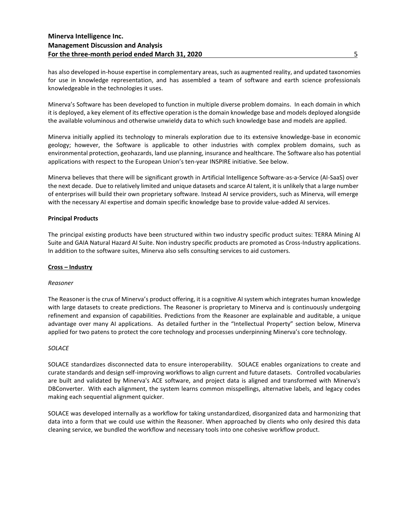has also developed in-house expertise in complementary areas, such as augmented reality, and updated taxonomies for use in knowledge representation, and has assembled a team of software and earth science professionals knowledgeable in the technologies it uses.

Minerva's Software has been developed to function in multiple diverse problem domains. In each domain in which it is deployed, a key element of its effective operation is the domain knowledge base and models deployed alongside the available voluminous and otherwise unwieldy data to which such knowledge base and models are applied.

Minerva initially applied its technology to minerals exploration due to its extensive knowledge-base in economic geology; however, the Software is applicable to other industries with complex problem domains, such as environmental protection, geohazards, land use planning, insurance and healthcare. The Software also has potential applications with respect to the European Union's ten-year INSPIRE initiative. See below.

Minerva believes that there will be significant growth in Artificial Intelligence Software-as-a-Service (AI-SaaS) over the next decade. Due to relatively limited and unique datasets and scarce AI talent, it is unlikely that a large number of enterprises will build their own proprietary software. Instead AI service providers, such as Minerva, will emerge with the necessary AI expertise and domain specific knowledge base to provide value-added AI services.

## **Principal Products**

The principal existing products have been structured within two industry specific product suites: TERRA Mining AI Suite and GAIA Natural Hazard AI Suite. Non industry specific products are promoted as Cross-Industry applications. In addition to the software suites, Minerva also sells consulting services to aid customers.

## **Cross – Industry**

## *Reasoner*

The Reasoner is the crux of Minerva's product offering, it is a cognitive AI system which integrates human knowledge with large datasets to create predictions. The Reasoner is proprietary to Minerva and is continuously undergoing refinement and expansion of capabilities. Predictions from the Reasoner are explainable and auditable, a unique advantage over many AI applications. As detailed further in the "Intellectual Property" section below, Minerva applied for two patens to protect the core technology and processes underpinning Minerva's core technology.

## *SOLACE*

SOLACE standardizes disconnected data to ensure interoperability. SOLACE enables organizations to create and curate standards and design self-improving workflows to align current and future datasets. Controlled vocabularies are built and validated by Minerva's ACE software, and project data is aligned and transformed with Minerva's DBConverter. With each alignment, the system learns common misspellings, alternative labels, and legacy codes making each sequential alignment quicker.

SOLACE was developed internally as a workflow for taking unstandardized, disorganized data and harmonizing that data into a form that we could use within the Reasoner. When approached by clients who only desired this data cleaning service, we bundled the workflow and necessary tools into one cohesive workflow product.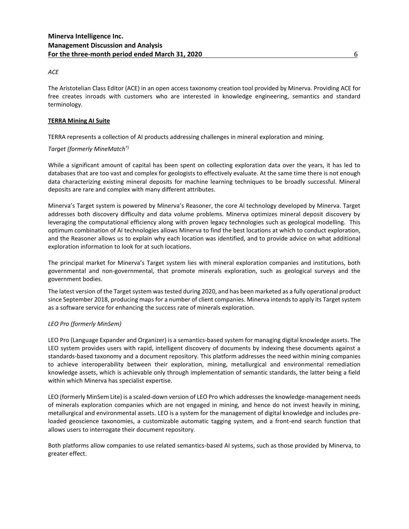## *ACE*

The Aristotelian Class Editor (ACE) in an open access taxonomy creation tool provided by Minerva. Providing ACE for free creates inroads with customers who are interested in knowledge engineering, semantics and standard terminology.

## **TERRA Mining AI Suite**

TERRA represents a collection of AI products addressing challenges in mineral exploration and mining.

## *Target (formerly MineMatch®)*

While a significant amount of capital has been spent on collecting exploration data over the years, it has led to databases that are too vast and complex for geologists to effectively evaluate. At the same time there is not enough data characterizing existing mineral deposits for machine learning techniques to be broadly successful. Mineral deposits are rare and complex with many different attributes.

Minerva's Target system is powered by Minerva's Reasoner, the core AI technology developed by Minerva. Target addresses both discovery difficulty and data volume problems. Minerva optimizes mineral deposit discovery by leveraging the computational efficiency along with proven legacy technologies such as geological modelling. This optimum combination of AI technologies allows Minerva to find the best locations at which to conduct exploration, and the Reasoner allows us to explain why each location was identified, and to provide advice on what additional exploration information to look for at such locations.

The principal market for Minerva's Target system lies with mineral exploration companies and institutions, both governmental and non-governmental, that promote minerals exploration, such as geological surveys and the government bodies.

The latest version of the Target system was tested during 2020, and has been marketed as a fully operational product since September 2018, producing maps for a number of client companies. Minerva intends to apply its Target system as a software service for enhancing the success rate of minerals exploration.

## *LEO Pro (formerly MinSem)*

LEO Pro (Language Expander and Organizer) is a semantics-based system for managing digital knowledge assets. The LEO system provides users with rapid, intelligent discovery of documents by indexing these documents against a standards-based taxonomy and a document repository. This platform addresses the need within mining companies to achieve interoperability between their exploration, mining, metallurgical and environmental remediation knowledge assets, which is achievable only through implementation of semantic standards, the latter being a field within which Minerva has specialist expertise.

LEO (formerly MinSem Lite) is a scaled-down version of LEO Pro which addresses the knowledge-management needs of minerals exploration companies which are not engaged in mining, and hence do not invest heavily in mining, metallurgical and environmental assets. LEO is a system for the management of digital knowledge and includes preloaded geoscience taxonomies, a customizable automatic tagging system, and a front-end search function that allows users to interrogate their document repository.

Both platforms allow companies to use related semantics-based AI systems, such as those provided by Minerva, to greater effect.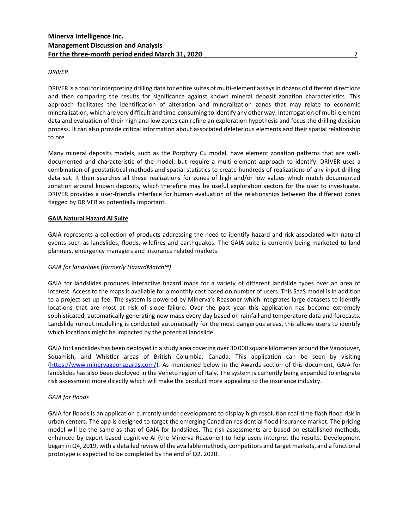## *DRIVER*

DRIVER is a tool for interpreting drilling data for entire suites of multi-element assays in dozens of different directions and then comparing the results for significance against known mineral deposit zonation characteristics. This approach facilitates the identification of alteration and mineralization zones that may relate to economic mineralization, which are very difficult and time-consuming to identify any other way. Interrogation of multi-element data and evaluation of their high and low zones can refine an exploration hypothesis and focus the drilling decision process. It can also provide critical information about associated deleterious elements and their spatial relationship to ore.

Many mineral deposits models, such as the Porphyry Cu model, have element zonation patterns that are welldocumented and characteristic of the model, but require a multi-element approach to identify. DRIVER uses a combination of geostatistical methods and spatial statistics to create hundreds of realizations of any input drilling data set. It then searches all these realizations for zones of high and/or low values which match documented zonation around known deposits, which therefore may be useful exploration vectors for the user to investigate. DRIVER provides a user-friendly interface for human evaluation of the relationships between the different zones flagged by DRIVER as potentially important.

## **GAIA Natural Hazard AI Suite**

GAIA represents a collection of products addressing the need to identify hazard and risk associated with natural events such as landslides, floods, wildfires and earthquakes. The GAIA suite is currently being marketed to land planners, emergency managers and insurance related markets.

## *GAIA for landslides (formerly HazardMatch™)*

GAIA for landslides produces interactive hazard maps for a variety of different landslide types over an area of interest. Access to the maps is available for a monthly cost based on number of users. This SaaS model is in addition to a project set up fee. The system is powered by Minerva's Reasoner which integrates large datasets to identify locations that are most at risk of slope failure. Over the past year this application has become extremely sophisticated, automatically generating new maps every day based on rainfall and temperature data and forecasts. Landslide runout modelling is conducted automatically for the most dangerous areas, this allows users to identify which locations might be impacted by the potential landslide.

GAIA for Landslides has been deployed in a study area covering over 30 000 square kilometers around the Vancouver, Squamish, and Whistler areas of British Columbia, Canada. This application can be seen by visiting [\(https://www.minervageohazards.com/\)](https://www.minervageohazards.com/). As mentioned below in the Awards section of this document, GAIA for landslides has also been deployed in the Veneto region of Italy. The system is currently being expanded to integrate risk assessment more directly which will make the product more appealing to the insurance industry.

## *GAIA for floods*

GAIA for floods is an application currently under development to display high resolution real-time flash flood risk in urban centers. The app is designed to target the emerging Canadian residential flood insurance market. The pricing model will be the same as that of GAIA for landslides. The risk assessments are based on established methods, enhanced by expert-based cognitive AI (the Minerva Reasoner) to help users interpret the results. Development began in Q4, 2019, with a detailed review of the available methods, competitors and target markets, and a functional prototype is expected to be completed by the end of Q2, 2020.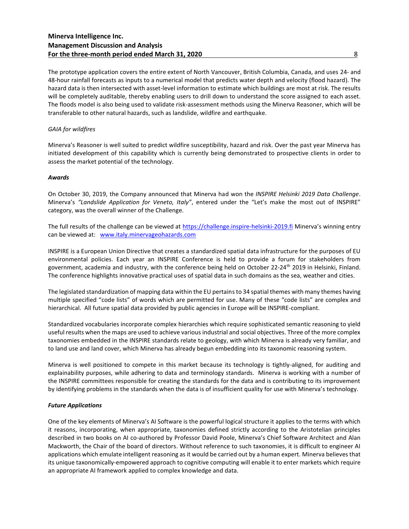The prototype application covers the entire extent of North Vancouver, British Columbia, Canada, and uses 24- and 48-hour rainfall forecasts as inputs to a numerical model that predicts water depth and velocity (flood hazard). The hazard data is then intersected with asset-level information to estimate which buildings are most at risk. The results will be completely auditable, thereby enabling users to drill down to understand the score assigned to each asset. The floods model is also being used to validate risk-assessment methods using the Minerva Reasoner, which will be transferable to other natural hazards, such as landslide, wildfire and earthquake.

## *GAIA for wildfires*

Minerva's Reasoner is well suited to predict wildfire susceptibility, hazard and risk. Over the past year Minerva has initiated development of this capability which is currently being demonstrated to prospective clients in order to assess the market potential of the technology.

## *Awards*

On October 30, 2019, the Company announced that Minerva had won the *INSPIRE Helsinki 2019 Data Challenge*. Minerva's *"Landslide Application for Veneto, Italy"*, entered under the "Let's make the most out of INSPIRE" category, was the overall winner of the Challenge.

The full results of the challenge can be viewed at https://challenge.inspire-helsinki-2019.fi Minerva's winning entry can be viewed at: [www.italy.minervageohazards.com](http://www.italy.minervageohazards.com/)

INSPIRE is a European Union Directive that creates a standardized spatial data infrastructure for the purposes of EU environmental policies. Each year an INSPIRE Conference is held to provide a forum for stakeholders from government, academia and industry, with the conference being held on October 22-24<sup>th</sup> 2019 in Helsinki, Finland. The conference highlights innovative practical uses of spatial data in such domains as the sea, weather and cities.

The legislated standardization of mapping data within the EU pertainsto 34 spatial themes with many themes having multiple specified "code lists" of words which are permitted for use. Many of these "code lists" are complex and hierarchical. All future spatial data provided by public agencies in Europe will be INSPIRE-compliant.

Standardized vocabularies incorporate complex hierarchies which require sophisticated semantic reasoning to yield useful results when the maps are used to achieve various industrial and social objectives. Three of the more complex taxonomies embedded in the INSPIRE standards relate to geology, with which Minerva is already very familiar, and to land use and land cover, which Minerva has already begun embedding into its taxonomic reasoning system.

Minerva is well positioned to compete in this market because its technology is tightly-aligned, for auditing and explainability purposes, while adhering to data and terminology standards. Minerva is working with a number of the INSPIRE committees responsible for creating the standards for the data and is contributing to its improvement by identifying problems in the standards when the data is of insufficient quality for use with Minerva's technology.

## *Future Applications*

One of the key elements of Minerva's AI Software is the powerful logical structure it applies to the terms with which it reasons, incorporating, when appropriate, taxonomies defined strictly according to the Aristotelian principles described in two books on AI co-authored by Professor David Poole, Minerva's Chief Software Architect and Alan Mackworth, the Chair of the board of directors. Without reference to such taxonomies, it is difficult to engineer AI applications which emulate intelligent reasoning as it would be carried out by a human expert. Minerva believes that its unique taxonomically-empowered approach to cognitive computing will enable it to enter markets which require an appropriate AI framework applied to complex knowledge and data.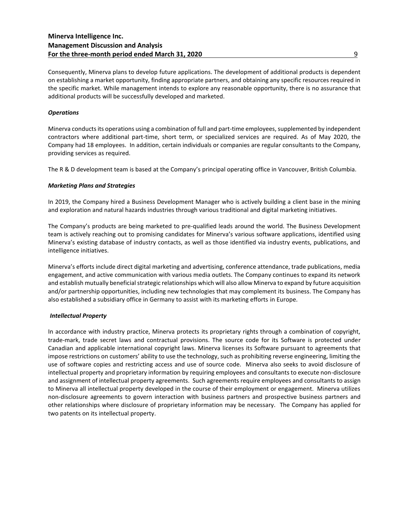Consequently, Minerva plans to develop future applications. The development of additional products is dependent on establishing a market opportunity, finding appropriate partners, and obtaining any specific resources required in the specific market. While management intends to explore any reasonable opportunity, there is no assurance that additional products will be successfully developed and marketed.

## *Operations*

Minerva conducts its operations using a combination of full and part-time employees, supplemented by independent contractors where additional part-time, short term, or specialized services are required. As of May 2020, the Company had 18 employees. In addition, certain individuals or companies are regular consultants to the Company, providing services as required.

The R & D development team is based at the Company's principal operating office in Vancouver, British Columbia.

## *Marketing Plans and Strategies*

In 2019, the Company hired a Business Development Manager who is actively building a client base in the mining and exploration and natural hazards industries through various traditional and digital marketing initiatives.

The Company's products are being marketed to pre-qualified leads around the world. The Business Development team is actively reaching out to promising candidates for Minerva's various software applications, identified using Minerva's existing database of industry contacts, as well as those identified via industry events, publications, and intelligence initiatives.

Minerva's efforts include direct digital marketing and advertising, conference attendance, trade publications, media engagement, and active communication with various media outlets. The Company continues to expand its network and establish mutually beneficial strategic relationships which will also allow Minerva to expand by future acquisition and/or partnership opportunities, including new technologies that may complement its business. The Company has also established a subsidiary office in Germany to assist with its marketing efforts in Europe.

## *Intellectual Property*

In accordance with industry practice, Minerva protects its proprietary rights through a combination of copyright, trade-mark, trade secret laws and contractual provisions. The source code for its Software is protected under Canadian and applicable international copyright laws. Minerva licenses its Software pursuant to agreements that impose restrictions on customers' ability to use the technology, such as prohibiting reverse engineering, limiting the use of software copies and restricting access and use of source code. Minerva also seeks to avoid disclosure of intellectual property and proprietary information by requiring employees and consultants to execute non-disclosure and assignment of intellectual property agreements. Such agreements require employees and consultants to assign to Minerva all intellectual property developed in the course of their employment or engagement. Minerva utilizes non-disclosure agreements to govern interaction with business partners and prospective business partners and other relationships where disclosure of proprietary information may be necessary. The Company has applied for two patents on its intellectual property.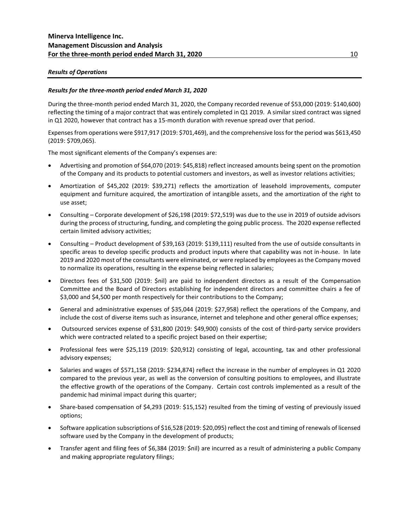## *Results of Operations*

## *Results for the three-month period ended March 31, 2020*

During the three-month period ended March 31, 2020, the Company recorded revenue of \$53,000 (2019: \$140,600) reflecting the timing of a major contract that was entirely completed in Q1 2019. A similar sized contract was signed in Q1 2020, however that contract has a 15-month duration with revenue spread over that period.

Expenses from operations were \$917,917 (2019: \$701,469), and the comprehensive loss for the period was \$613,450 (2019: \$709,065).

The most significant elements of the Company's expenses are:

- Advertising and promotion of \$64,070 (2019: \$45,818) reflect increased amounts being spent on the promotion of the Company and its products to potential customers and investors, as well as investor relations activities;
- Amortization of \$45,202 (2019: \$39,271) reflects the amortization of leasehold improvements, computer equipment and furniture acquired, the amortization of intangible assets, and the amortization of the right to use asset;
- Consulting Corporate development of \$26,198 (2019: \$72,519) was due to the use in 2019 of outside advisors during the process of structuring, funding, and completing the going public process. The 2020 expense reflected certain limited advisory activities;
- Consulting Product development of \$39,163 (2019: \$139,111) resulted from the use of outside consultants in specific areas to develop specific products and product inputs where that capability was not in-house. In late 2019 and 2020 most of the consultants were eliminated, or were replaced by employees as the Company moved to normalize its operations, resulting in the expense being reflected in salaries;
- Directors fees of \$31,500 (2019: \$nil) are paid to independent directors as a result of the Compensation Committee and the Board of Directors establishing for independent directors and committee chairs a fee of \$3,000 and \$4,500 per month respectively for their contributions to the Company;
- General and administrative expenses of \$35,044 (2019: \$27,958) reflect the operations of the Company, and include the cost of diverse items such as insurance, internet and telephone and other general office expenses;
- Outsourced services expense of \$31,800 (2019: \$49,900) consists of the cost of third-party service providers which were contracted related to a specific project based on their expertise;
- Professional fees were \$25,119 (2019: \$20,912) consisting of legal, accounting, tax and other professional advisory expenses;
- Salaries and wages of \$571,158 (2019: \$234,874) reflect the increase in the number of employees in Q1 2020 compared to the previous year, as well as the conversion of consulting positions to employees, and illustrate the effective growth of the operations of the Company. Certain cost controls implemented as a result of the pandemic had minimal impact during this quarter;
- Share-based compensation of \$4,293 (2019: \$15,152) resulted from the timing of vesting of previously issued options;
- Software application subscriptions of \$16,528 (2019: \$20,095) reflect the cost and timing of renewals of licensed software used by the Company in the development of products;
- Transfer agent and filing fees of \$6,384 (2019: \$nil) are incurred as a result of administering a public Company and making appropriate regulatory filings;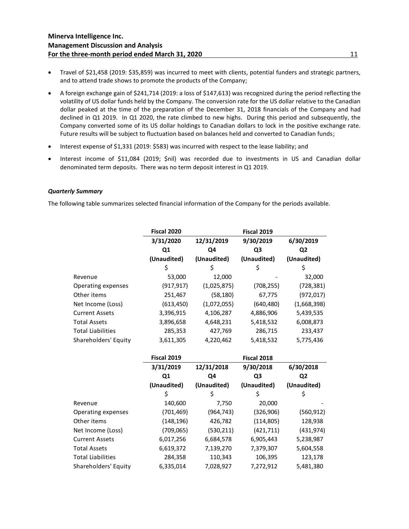- Travel of \$21,458 (2019: \$35,859) was incurred to meet with clients, potential funders and strategic partners, and to attend trade shows to promote the products of the Company;
- A foreign exchange gain of \$241,714 (2019: a loss of \$147,613) was recognized during the period reflecting the volatility of US dollar funds held by the Company. The conversion rate for the US dollar relative to the Canadian dollar peaked at the time of the preparation of the December 31, 2018 financials of the Company and had declined in Q1 2019. In Q1 2020, the rate climbed to new highs. During this period and subsequently, the Company converted some of its US dollar holdings to Canadian dollars to lock in the positive exchange rate. Future results will be subject to fluctuation based on balances held and converted to Canadian funds;
- Interest expense of \$1,331 (2019: \$583) was incurred with respect to the lease liability; and
- Interest income of \$11,084 (2019; \$nil) was recorded due to investments in US and Canadian dollar denominated term deposits. There was no term deposit interest in Q1 2019.

## *Quarterly Summary*

The following table summarizes selected financial information of the Company for the periods available.

|                          | Fiscal 2020 |             | Fiscal 2019    |                |
|--------------------------|-------------|-------------|----------------|----------------|
|                          | 3/31/2020   | 12/31/2019  | 9/30/2019      | 6/30/2019      |
|                          | Q1          | Q4          | Q <sub>3</sub> | Q <sub>2</sub> |
|                          | (Unaudited) | (Unaudited) | (Unaudited)    | (Unaudited)    |
|                          | \$          | Ś           | \$             | \$             |
| Revenue                  | 53,000      | 12,000      |                | 32,000         |
| Operating expenses       | (917, 917)  | (1,025,875) | (708, 255)     | (728, 381)     |
| Other items              | 251,467     | (58, 180)   | 67,775         | (972, 017)     |
| Net Income (Loss)        | (613, 450)  | (1,072,055) | (640, 480)     | (1,668,398)    |
| <b>Current Assets</b>    | 3,396,915   | 4,106,287   | 4,886,906      | 5,439,535      |
| <b>Total Assets</b>      | 3,896,658   | 4,648,231   | 5,418,532      | 6,008,873      |
| <b>Total Liabilities</b> | 285,353     | 427,769     | 286,715        | 233,437        |
| Shareholders' Equity     | 3,611,305   | 4,220,462   | 5,418,532      | 5,775,436      |
|                          |             |             |                |                |
|                          | Fiscal 2019 |             | Fiscal 2018    |                |
|                          | 3/31/2019   | 12/31/2018  | 9/30/2018      | 6/30/2018      |
|                          | Q1          | Q4          | Q <sub>3</sub> | Q <sub>2</sub> |
|                          | (Unaudited) | (Unaudited) | (Unaudited)    | (Unaudited)    |
|                          | \$          | \$          | \$             | \$             |
| Revenue                  | 140,600     | 7,750       | 20,000         |                |
| Operating expenses       | (701, 469)  | (964, 743)  | (326,906)      | (560, 912)     |
| Other items              | (148, 196)  | 426,782     | (114, 805)     | 128,938        |
| Net Income (Loss)        | (709,065)   | (530, 211)  | (421, 711)     | (431, 974)     |
| <b>Current Assets</b>    | 6,017,256   | 6,684,578   | 6,905,443      | 5,238,987      |
| <b>Total Assets</b>      | 6,619,372   | 7,139,270   | 7,379,307      | 5,604,558      |
|                          |             |             |                |                |
| <b>Total Liabilities</b> | 284,358     | 110,343     | 106,395        | 123,178        |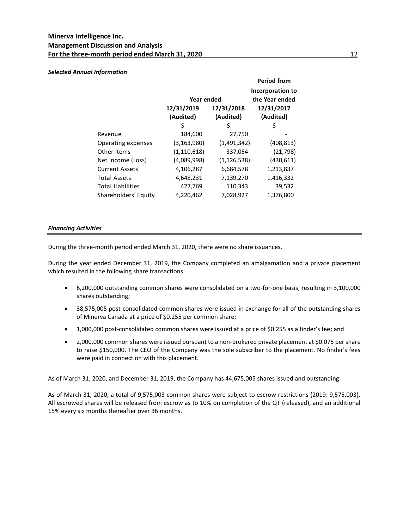## *Selected Annual Information*

|                          |                         |                                    | <b>Period from</b>      |
|--------------------------|-------------------------|------------------------------------|-------------------------|
|                          | Year ended              | Incorporation to<br>the Year ended |                         |
|                          | 12/31/2019<br>(Audited) | 12/31/2018<br>(Audited)            | 12/31/2017<br>(Audited) |
|                          | \$                      | \$                                 | \$                      |
| Revenue                  | 184,600                 | 27,750                             |                         |
| Operating expenses       | (3,163,980)             | (1,491,342)                        | (408, 813)              |
| Other items              | (1, 110, 618)           | 337,054                            | (21, 798)               |
| Net Income (Loss)        | (4,089,998)             | (1, 126, 538)                      | (430,611)               |
| <b>Current Assets</b>    | 4,106,287               | 6,684,578                          | 1,213,837               |
| <b>Total Assets</b>      | 4,648,231               | 7,139,270                          | 1,416,332               |
| <b>Total Liabilities</b> | 427,769                 | 110,343                            | 39,532                  |
| Shareholders' Equity     | 4,220,462               | 7,028,927                          | 1,376,800               |

## *Financing Activities*

During the three-month period ended March 31, 2020, there were no share issuances.

During the year ended December 31, 2019, the Company completed an amalgamation and a private placement which resulted in the following share transactions:

- 6,200,000 outstanding common shares were consolidated on a two-for-one basis, resulting in 3,100,000 shares outstanding;
- 38,575,005 post-consolidated common shares were issued in exchange for all of the outstanding shares of Minerva Canada at a price of \$0.255 per common share;
- 1,000,000 post-consolidated common shares were issued at a price of \$0.255 as a finder's fee; and
- 2,000,000 common shares were issued pursuant to a non-brokered private placement at \$0.075 per share to raise \$150,000. The CEO of the Company was the sole subscriber to the placement. No finder's fees were paid in connection with this placement.

As of March 31, 2020, and December 31, 2019, the Company has 44,675,005 shares issued and outstanding.

As of March 31, 2020, a total of 9,575,003 common shares were subject to escrow restrictions (2019: 9,575,003). All escrowed shares will be released from escrow as to 10% on completion of the QT (released), and an additional 15% every six months thereafter over 36 months.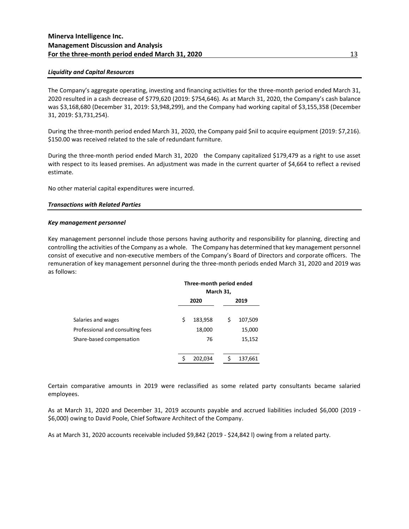## **Minerva Intelligence Inc. Management Discussion and Analysis For the three-month period ended March 31, 2020** 13

## *Liquidity and Capital Resources*

The Company's aggregate operating, investing and financing activities for the three-month period ended March 31, 2020 resulted in a cash decrease of \$779,620 (2019: \$754,646). As at March 31, 2020, the Company's cash balance was \$3,168,680 (December 31, 2019: \$3,948,299), and the Company had working capital of \$3,155,358 (December 31, 2019: \$3,731,254).

During the three-month period ended March 31, 2020, the Company paid \$nil to acquire equipment (2019: \$7,216). \$150.00 was received related to the sale of redundant furniture.

During the three-month period ended March 31, 2020 the Company capitalized \$179,479 as a right to use asset with respect to its leased premises. An adjustment was made in the current quarter of \$4,664 to reflect a revised estimate.

No other material capital expenditures were incurred.

## *Transactions with Related Parties*

## *Key management personnel*

Key management personnel include those persons having authority and responsibility for planning, directing and controlling the activities of the Company as a whole. The Company has determined that key management personnel consist of executive and non-executive members of the Company's Board of Directors and corporate officers. The remuneration of key management personnel during the three-month periods ended March 31, 2020 and 2019 was as follows:

|                                  | Three-month period ended<br>March 31, |  |      |         |
|----------------------------------|---------------------------------------|--|------|---------|
|                                  | 2020                                  |  | 2019 |         |
| Salaries and wages               | \$<br>183,958                         |  | \$   | 107,509 |
| Professional and consulting fees | 18,000                                |  |      | 15,000  |
| Share-based compensation         | 76                                    |  |      | 15,152  |
|                                  |                                       |  |      |         |
|                                  | \$<br>202,034                         |  |      | 137,661 |

Certain comparative amounts in 2019 were reclassified as some related party consultants became salaried employees.

As at March 31, 2020 and December 31, 2019 accounts payable and accrued liabilities included \$6,000 (2019 - \$6,000) owing to David Poole, Chief Software Architect of the Company.

As at March 31, 2020 accounts receivable included \$9,842 (2019 - \$24,842 l) owing from a related party.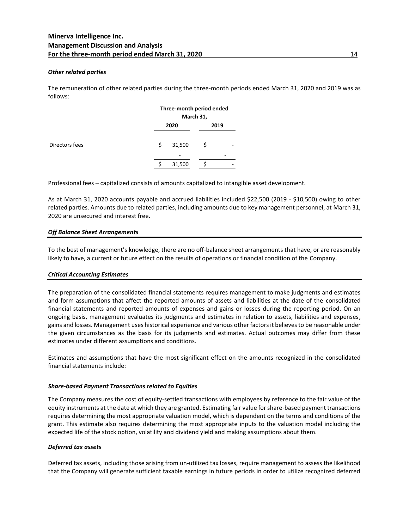## *Other related parties*

The remuneration of other related parties during the three-month periods ended March 31, 2020 and 2019 was as follows:

|                | Three-month period ended<br>March 31, |        |      |   |
|----------------|---------------------------------------|--------|------|---|
|                |                                       | 2020   | 2019 |   |
| Directors fees | \$                                    | 31,500 | \$   | - |
|                |                                       | -      |      |   |
|                |                                       | 31,500 |      |   |

Professional fees – capitalized consists of amounts capitalized to intangible asset development.

As at March 31, 2020 accounts payable and accrued liabilities included \$22,500 (2019 - \$10,500) owing to other related parties. Amounts due to related parties, including amounts due to key management personnel, at March 31, 2020 are unsecured and interest free.

## *Off Balance Sheet Arrangements*

To the best of management's knowledge, there are no off-balance sheet arrangements that have, or are reasonably likely to have, a current or future effect on the results of operations or financial condition of the Company.

## *Critical Accounting Estimates*

The preparation of the consolidated financial statements requires management to make judgments and estimates and form assumptions that affect the reported amounts of assets and liabilities at the date of the consolidated financial statements and reported amounts of expenses and gains or losses during the reporting period. On an ongoing basis, management evaluates its judgments and estimates in relation to assets, liabilities and expenses, gains and losses. Management uses historical experience and various other factors it believes to be reasonable under the given circumstances as the basis for its judgments and estimates. Actual outcomes may differ from these estimates under different assumptions and conditions.

Estimates and assumptions that have the most significant effect on the amounts recognized in the consolidated financial statements include:

## *Share-based Payment Transactions related to Equities*

The Company measures the cost of equity-settled transactions with employees by reference to the fair value of the equity instruments at the date at which they are granted. Estimating fair value for share-based payment transactions requires determining the most appropriate valuation model, which is dependent on the terms and conditions of the grant. This estimate also requires determining the most appropriate inputs to the valuation model including the expected life of the stock option, volatility and dividend yield and making assumptions about them.

## *Deferred tax assets*

Deferred tax assets, including those arising from un-utilized tax losses, require management to assess the likelihood that the Company will generate sufficient taxable earnings in future periods in order to utilize recognized deferred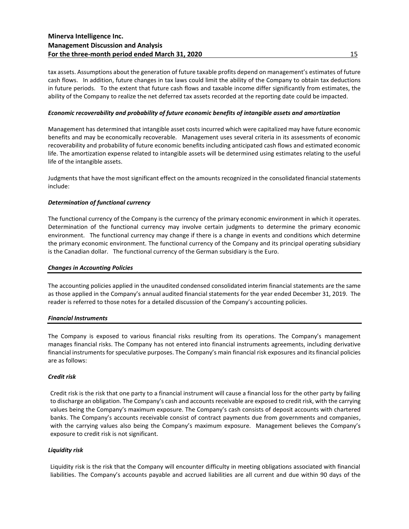## **Minerva Intelligence Inc. Management Discussion and Analysis For the three-month period ended March 31, 2020** 15

tax assets. Assumptions about the generation of future taxable profits depend on management's estimates of future cash flows. In addition, future changes in tax laws could limit the ability of the Company to obtain tax deductions in future periods. To the extent that future cash flows and taxable income differ significantly from estimates, the ability of the Company to realize the net deferred tax assets recorded at the reporting date could be impacted.

## *Economic recoverability and probability of future economic benefits of intangible assets and amortization*

Management has determined that intangible asset costs incurred which were capitalized may have future economic benefits and may be economically recoverable. Management uses several criteria in its assessments of economic recoverability and probability of future economic benefits including anticipated cash flows and estimated economic life. The amortization expense related to intangible assets will be determined using estimates relating to the useful life of the intangible assets.

Judgments that have the most significant effect on the amounts recognized in the consolidated financial statements include:

## *Determination of functional currency*

The functional currency of the Company is the currency of the primary economic environment in which it operates. Determination of the functional currency may involve certain judgments to determine the primary economic environment. The functional currency may change if there is a change in events and conditions which determine the primary economic environment. The functional currency of the Company and its principal operating subsidiary is the Canadian dollar. The functional currency of the German subsidiary is the Euro.

## *Changes in Accounting Policies*

The accounting policies applied in the unaudited condensed consolidated interim financial statements are the same as those applied in the Company's annual audited financial statements for the year ended December 31, 2019. The reader is referred to those notes for a detailed discussion of the Company's accounting policies.

## *Financial Instruments*

The Company is exposed to various financial risks resulting from its operations. The Company's management manages financial risks. The Company has not entered into financial instruments agreements, including derivative financial instruments for speculative purposes. The Company's main financial risk exposures and its financial policies are as follows:

## *Credit risk*

Credit risk is the risk that one party to a financial instrument will cause a financial loss for the other party by failing to discharge an obligation. The Company's cash and accounts receivable are exposed to credit risk, with the carrying values being the Company's maximum exposure. The Company's cash consists of deposit accounts with chartered banks. The Company's accounts receivable consist of contract payments due from governments and companies, with the carrying values also being the Company's maximum exposure. Management believes the Company's exposure to credit risk is not significant.

## *Liquidity risk*

Liquidity risk is the risk that the Company will encounter difficulty in meeting obligations associated with financial liabilities. The Company's accounts payable and accrued liabilities are all current and due within 90 days of the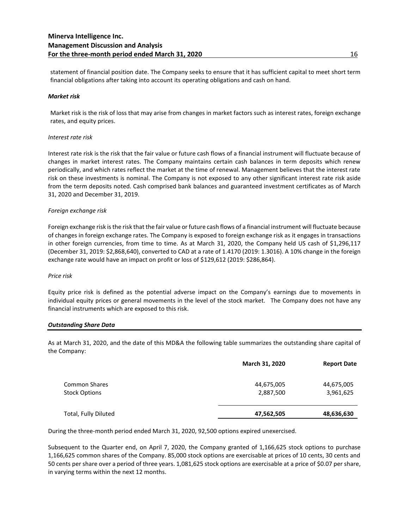statement of financial position date. The Company seeks to ensure that it has sufficient capital to meet short term financial obligations after taking into account its operating obligations and cash on hand.

## *Market risk*

Market risk is the risk of loss that may arise from changes in market factors such as interest rates, foreign exchange rates, and equity prices.

## *Interest rate risk*

Interest rate risk is the risk that the fair value or future cash flows of a financial instrument will fluctuate because of changes in market interest rates. The Company maintains certain cash balances in term deposits which renew periodically, and which rates reflect the market at the time of renewal. Management believes that the interest rate risk on these investments is nominal. The Company is not exposed to any other significant interest rate risk aside from the term deposits noted. Cash comprised bank balances and guaranteed investment certificates as of March 31, 2020 and December 31, 2019.

## *Foreign exchange risk*

Foreign exchange risk is the risk that the fair value or future cash flows of a financial instrument will fluctuate because of changes in foreign exchange rates. The Company is exposed to foreign exchange risk as it engages in transactions in other foreign currencies, from time to time. As at March 31, 2020, the Company held US cash of \$1,296,117 (December 31, 2019: \$2,868,640), converted to CAD at a rate of 1.4170 (2019: 1.3016). A 10% change in the foreign exchange rate would have an impact on profit or loss of \$129,612 (2019: \$286,864).

#### *Price risk*

Equity price risk is defined as the potential adverse impact on the Company's earnings due to movements in individual equity prices or general movements in the level of the stock market. The Company does not have any financial instruments which are exposed to this risk.

#### *Outstanding Share Data*

As at March 31, 2020, and the date of this MD&A the following table summarizes the outstanding share capital of the Company:

|                      | March 31, 2020 | <b>Report Date</b> |
|----------------------|----------------|--------------------|
| Common Shares        | 44,675,005     | 44,675,005         |
| Stock Options        | 2,887,500      | 3,961,625          |
| Total, Fully Diluted | 47,562,505     | 48,636,630         |

During the three-month period ended March 31, 2020, 92,500 options expired unexercised.

Subsequent to the Quarter end, on April 7, 2020, the Company granted of 1,166,625 stock options to purchase 1,166,625 common shares of the Company. 85,000 stock options are exercisable at prices of 10 cents, 30 cents and 50 cents per share over a period of three years. 1,081,625 stock options are exercisable at a price of \$0.07 per share, in varying terms within the next 12 months.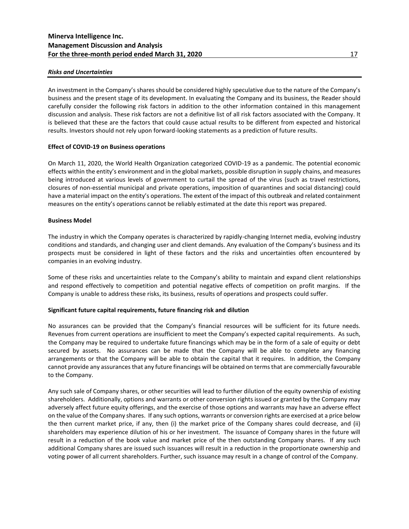## *Risks and Uncertainties*

An investment in the Company's shares should be considered highly speculative due to the nature of the Company's business and the present stage of its development. In evaluating the Company and its business, the Reader should carefully consider the following risk factors in addition to the other information contained in this management discussion and analysis. These risk factors are not a definitive list of all risk factors associated with the Company. It is believed that these are the factors that could cause actual results to be different from expected and historical results. Investors should not rely upon forward-looking statements as a prediction of future results.

## **Effect of COVID-19 on Business operations**

On March 11, 2020, the World Health Organization categorized COVID-19 as a pandemic. The potential economic effects within the entity's environment and in the global markets, possible disruption in supply chains, and measures being introduced at various levels of government to curtail the spread of the virus (such as travel restrictions, closures of non-essential municipal and private operations, imposition of quarantines and social distancing) could have a material impact on the entity's operations. The extent of the impact of this outbreak and related containment measures on the entity's operations cannot be reliably estimated at the date this report was prepared.

## **Business Model**

The industry in which the Company operates is characterized by rapidly-changing Internet media, evolving industry conditions and standards, and changing user and client demands. Any evaluation of the Company's business and its prospects must be considered in light of these factors and the risks and uncertainties often encountered by companies in an evolving industry.

Some of these risks and uncertainties relate to the Company's ability to maintain and expand client relationships and respond effectively to competition and potential negative effects of competition on profit margins. If the Company is unable to address these risks, its business, results of operations and prospects could suffer.

## **Significant future capital requirements, future financing risk and dilution**

No assurances can be provided that the Company's financial resources will be sufficient for its future needs. Revenues from current operations are insufficient to meet the Company's expected capital requirements. As such, the Company may be required to undertake future financings which may be in the form of a sale of equity or debt secured by assets. No assurances can be made that the Company will be able to complete any financing arrangements or that the Company will be able to obtain the capital that it requires. In addition, the Company cannot provide any assurances that any future financings will be obtained on terms that are commercially favourable to the Company.

Any such sale of Company shares, or other securities will lead to further dilution of the equity ownership of existing shareholders. Additionally, options and warrants or other conversion rights issued or granted by the Company may adversely affect future equity offerings, and the exercise of those options and warrants may have an adverse effect on the value of the Company shares. If any such options, warrants or conversion rights are exercised at a price below the then current market price, if any, then (i) the market price of the Company shares could decrease, and (ii) shareholders may experience dilution of his or her investment. The issuance of Company shares in the future will result in a reduction of the book value and market price of the then outstanding Company shares. If any such additional Company shares are issued such issuances will result in a reduction in the proportionate ownership and voting power of all current shareholders. Further, such issuance may result in a change of control of the Company.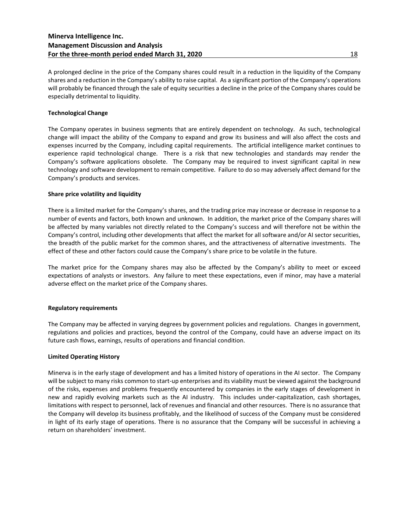A prolonged decline in the price of the Company shares could result in a reduction in the liquidity of the Company shares and a reduction in the Company's ability to raise capital. As a significant portion of the Company's operations will probably be financed through the sale of equity securities a decline in the price of the Company shares could be especially detrimental to liquidity.

## **Technological Change**

The Company operates in business segments that are entirely dependent on technology. As such, technological change will impact the ability of the Company to expand and grow its business and will also affect the costs and expenses incurred by the Company, including capital requirements. The artificial intelligence market continues to experience rapid technological change. There is a risk that new technologies and standards may render the Company's software applications obsolete. The Company may be required to invest significant capital in new technology and software development to remain competitive. Failure to do so may adversely affect demand for the Company's products and services.

## **Share price volatility and liquidity**

There is a limited market for the Company's shares, and the trading price may increase or decrease in response to a number of events and factors, both known and unknown. In addition, the market price of the Company shares will be affected by many variables not directly related to the Company's success and will therefore not be within the Company's control, including other developments that affect the market for all software and/or AI sector securities, the breadth of the public market for the common shares, and the attractiveness of alternative investments. The effect of these and other factors could cause the Company's share price to be volatile in the future.

The market price for the Company shares may also be affected by the Company's ability to meet or exceed expectations of analysts or investors. Any failure to meet these expectations, even if minor, may have a material adverse effect on the market price of the Company shares.

## **Regulatory requirements**

The Company may be affected in varying degrees by government policies and regulations. Changes in government, regulations and policies and practices, beyond the control of the Company, could have an adverse impact on its future cash flows, earnings, results of operations and financial condition.

## **Limited Operating History**

Minerva is in the early stage of development and has a limited history of operations in the AI sector. The Company will be subject to many risks common to start-up enterprises and its viability must be viewed against the background of the risks, expenses and problems frequently encountered by companies in the early stages of development in new and rapidly evolving markets such as the AI industry. This includes under-capitalization, cash shortages, limitations with respect to personnel, lack of revenues and financial and other resources. There is no assurance that the Company will develop its business profitably, and the likelihood of success of the Company must be considered in light of its early stage of operations. There is no assurance that the Company will be successful in achieving a return on shareholders' investment.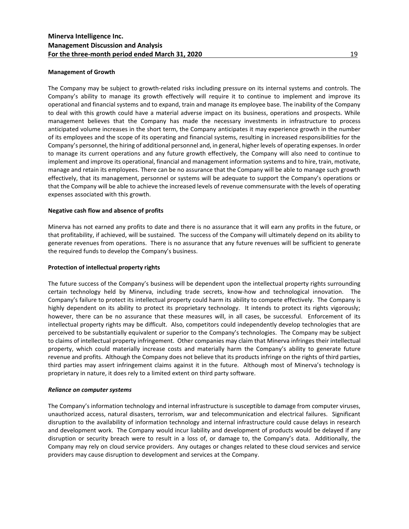## **Management of Growth**

The Company may be subject to growth-related risks including pressure on its internal systems and controls. The Company's ability to manage its growth effectively will require it to continue to implement and improve its operational and financial systems and to expand, train and manage its employee base. The inability of the Company to deal with this growth could have a material adverse impact on its business, operations and prospects. While management believes that the Company has made the necessary investments in infrastructure to process anticipated volume increases in the short term, the Company anticipates it may experience growth in the number of its employees and the scope of its operating and financial systems, resulting in increased responsibilities for the Company's personnel, the hiring of additional personnel and, in general, higher levels of operating expenses. In order to manage its current operations and any future growth effectively, the Company will also need to continue to implement and improve its operational, financial and management information systems and to hire, train, motivate, manage and retain its employees. There can be no assurance that the Company will be able to manage such growth effectively, that its management, personnel or systems will be adequate to support the Company's operations or that the Company will be able to achieve the increased levels of revenue commensurate with the levels of operating expenses associated with this growth.

## **Negative cash flow and absence of profits**

Minerva has not earned any profits to date and there is no assurance that it will earn any profits in the future, or that profitability, if achieved, will be sustained. The success of the Company will ultimately depend on its ability to generate revenues from operations. There is no assurance that any future revenues will be sufficient to generate the required funds to develop the Company's business.

## **Protection of intellectual property rights**

The future success of the Company's business will be dependent upon the intellectual property rights surrounding certain technology held by Minerva, including trade secrets, know-how and technological innovation. The Company's failure to protect its intellectual property could harm its ability to compete effectively. The Company is highly dependent on its ability to protect its proprietary technology. It intends to protect its rights vigorously; however, there can be no assurance that these measures will, in all cases, be successful. Enforcement of its intellectual property rights may be difficult. Also, competitors could independently develop technologies that are perceived to be substantially equivalent or superior to the Company's technologies. The Company may be subject to claims of intellectual property infringement. Other companies may claim that Minerva infringes their intellectual property, which could materially increase costs and materially harm the Company's ability to generate future revenue and profits. Although the Company does not believe that its products infringe on the rights of third parties, third parties may assert infringement claims against it in the future. Although most of Minerva's technology is proprietary in nature, it does rely to a limited extent on third party software.

## *Reliance on computer systems*

The Company's information technology and internal infrastructure is susceptible to damage from computer viruses, unauthorized access, natural disasters, terrorism, war and telecommunication and electrical failures. Significant disruption to the availability of information technology and internal infrastructure could cause delays in research and development work. The Company would incur liability and development of products would be delayed if any disruption or security breach were to result in a loss of, or damage to, the Company's data. Additionally, the Company may rely on cloud service providers. Any outages or changes related to these cloud services and service providers may cause disruption to development and services at the Company.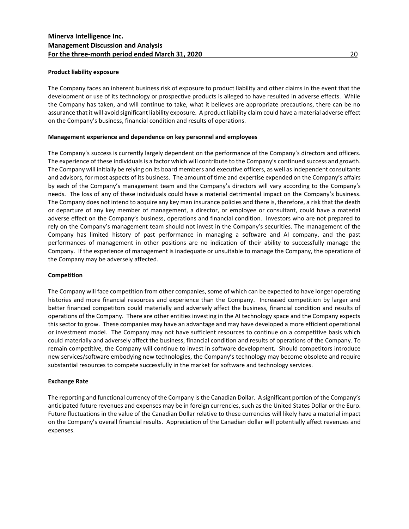## **Product liability exposure**

The Company faces an inherent business risk of exposure to product liability and other claims in the event that the development or use of its technology or prospective products is alleged to have resulted in adverse effects. While the Company has taken, and will continue to take, what it believes are appropriate precautions, there can be no assurance that it will avoid significant liability exposure. A product liability claim could have a material adverse effect on the Company's business, financial condition and results of operations.

## **Management experience and dependence on key personnel and employees**

The Company's success is currently largely dependent on the performance of the Company's directors and officers. The experience of these individuals is a factor which will contribute to the Company's continued success and growth. The Company will initially be relying on its board members and executive officers, as well as independent consultants and advisors, for most aspects of its business. The amount of time and expertise expended on the Company's affairs by each of the Company's management team and the Company's directors will vary according to the Company's needs. The loss of any of these individuals could have a material detrimental impact on the Company's business. The Company does not intend to acquire any key man insurance policies and there is, therefore, a risk that the death or departure of any key member of management, a director, or employee or consultant, could have a material adverse effect on the Company's business, operations and financial condition. Investors who are not prepared to rely on the Company's management team should not invest in the Company's securities. The management of the Company has limited history of past performance in managing a software and AI company, and the past performances of management in other positions are no indication of their ability to successfully manage the Company. If the experience of management is inadequate or unsuitable to manage the Company, the operations of the Company may be adversely affected.

#### **Competition**

The Company will face competition from other companies, some of which can be expected to have longer operating histories and more financial resources and experience than the Company. Increased competition by larger and better financed competitors could materially and adversely affect the business, financial condition and results of operations of the Company. There are other entities investing in the AI technology space and the Company expects this sector to grow. These companies may have an advantage and may have developed a more efficient operational or investment model. The Company may not have sufficient resources to continue on a competitive basis which could materially and adversely affect the business, financial condition and results of operations of the Company. To remain competitive, the Company will continue to invest in software development. Should competitors introduce new services/software embodying new technologies, the Company's technology may become obsolete and require substantial resources to compete successfully in the market for software and technology services.

#### **Exchange Rate**

The reporting and functional currency of the Company is the Canadian Dollar. A significant portion of the Company's anticipated future revenues and expenses may be in foreign currencies, such as the United States Dollar or the Euro. Future fluctuations in the value of the Canadian Dollar relative to these currencies will likely have a material impact on the Company's overall financial results. Appreciation of the Canadian dollar will potentially affect revenues and expenses.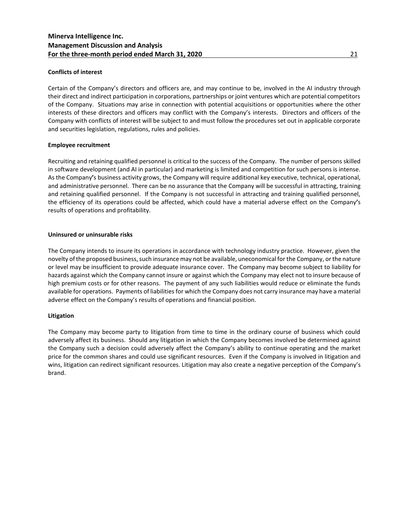## **Conflicts of interest**

Certain of the Company's directors and officers are, and may continue to be, involved in the AI industry through their direct and indirect participation in corporations, partnerships or joint ventures which are potential competitors of the Company. Situations may arise in connection with potential acquisitions or opportunities where the other interests of these directors and officers may conflict with the Company's interests. Directors and officers of the Company with conflicts of interest will be subject to and must follow the procedures set out in applicable corporate and securities legislation, regulations, rules and policies.

## **Employee recruitment**

Recruiting and retaining qualified personnel is critical to the success of the Company. The number of persons skilled in software development (and AI in particular) and marketing is limited and competition for such persons is intense. As the Company**'**s business activity grows, the Company will require additional key executive, technical, operational, and administrative personnel. There can be no assurance that the Company will be successful in attracting, training and retaining qualified personnel. If the Company is not successful in attracting and training qualified personnel, the efficiency of its operations could be affected, which could have a material adverse effect on the Company**'**s results of operations and profitability.

## **Uninsured or uninsurable risks**

The Company intends to insure its operations in accordance with technology industry practice. However, given the novelty of the proposed business, such insurance may not be available, uneconomical for the Company, or the nature or level may be insufficient to provide adequate insurance cover. The Company may become subject to liability for hazards against which the Company cannot insure or against which the Company may elect not to insure because of high premium costs or for other reasons. The payment of any such liabilities would reduce or eliminate the funds available for operations. Payments of liabilities for which the Company does not carry insurance may have a material adverse effect on the Company's results of operations and financial position.

## **Litigation**

The Company may become party to litigation from time to time in the ordinary course of business which could adversely affect its business. Should any litigation in which the Company becomes involved be determined against the Company such a decision could adversely affect the Company's ability to continue operating and the market price for the common shares and could use significant resources. Even if the Company is involved in litigation and wins, litigation can redirect significant resources. Litigation may also create a negative perception of the Company's brand.